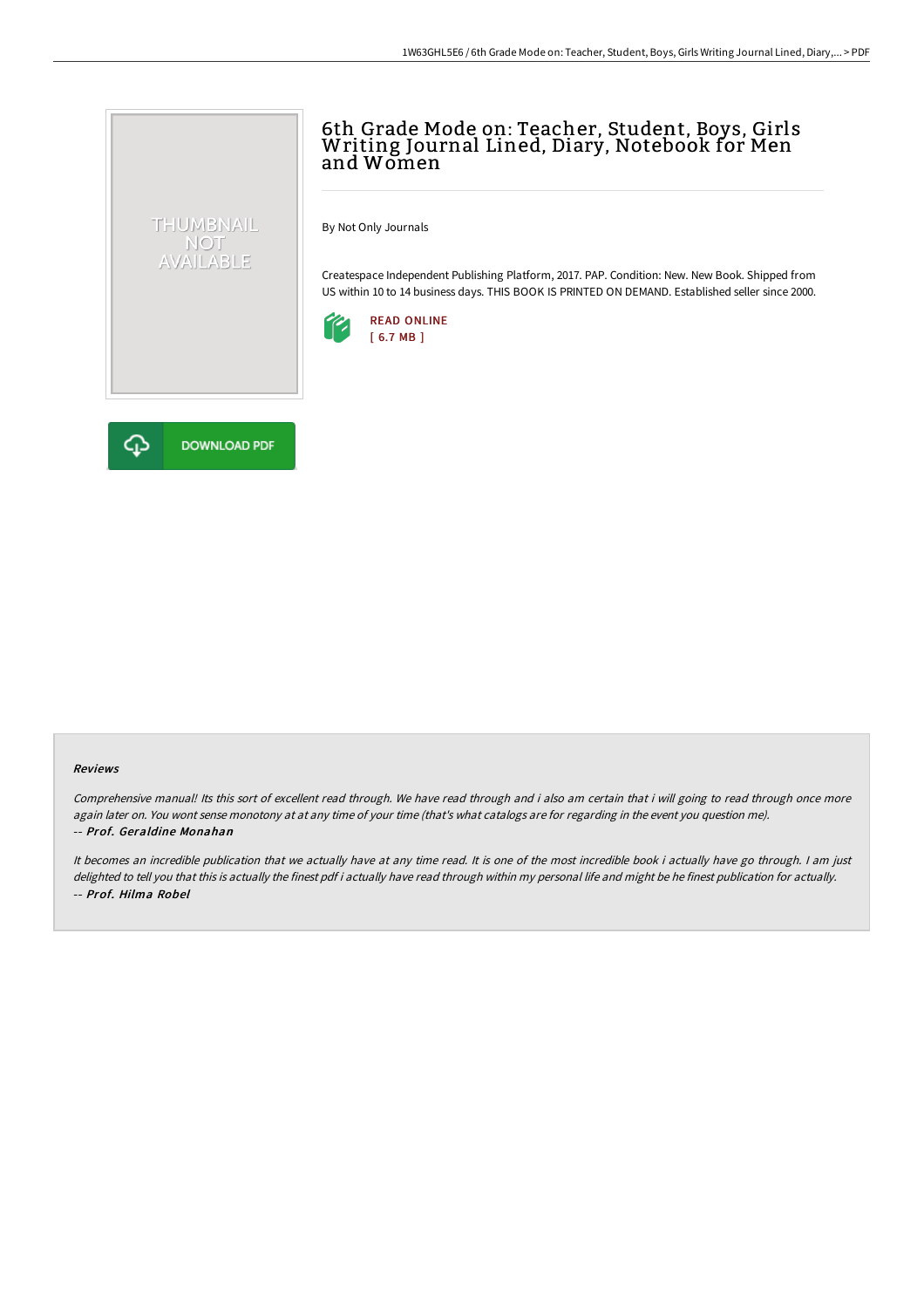## 6th Grade Mode on: Teacher, Student, Boys, Girls Writing Journal Lined, Diary, Notebook for Men and Women

By Not Only Journals

Createspace Independent Publishing Platform, 2017. PAP. Condition: New. New Book. Shipped from US within 10 to 14 business days. THIS BOOK IS PRINTED ON DEMAND. Established seller since 2000.





THUMBNAIL NOT<br>AVAILABLE

## Reviews

Comprehensive manual! Its this sort of excellent read through. We have read through and i also am certain that i will going to read through once more again later on. You wont sense monotony at at any time of your time (that's what catalogs are for regarding in the event you question me). -- Prof. Geraldine Monahan

It becomes an incredible publication that we actually have at any time read. It is one of the most incredible book i actually have go through. <sup>I</sup> am just delighted to tell you that this is actually the finest pdf i actually have read through within my personal life and might be he finest publication for actually. -- Prof. Hilma Robel